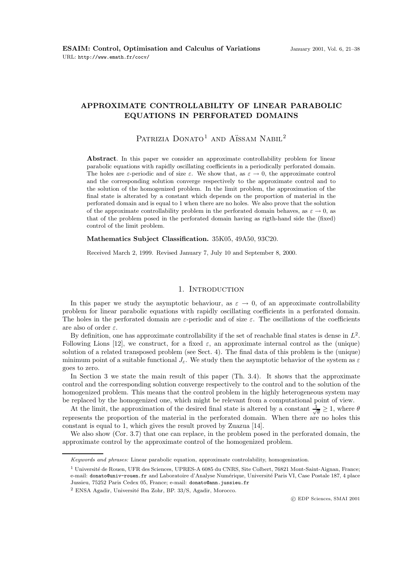# **APPROXIMATE CONTROLLABILITY OF LINEAR PARABOLIC EQUATIONS IN PERFORATED DOMAINS**

# Patrizia Donato<sup>1</sup> and Aïssam Nabil<sup>2</sup>

**Abstract**. In this paper we consider an approximate controllability problem for linear parabolic equations with rapidly oscillating coefficients in a periodically perforated domain. The holes are  $\varepsilon$ -periodic and of size  $\varepsilon$ . We show that, as  $\varepsilon \to 0$ , the approximate control and the corresponding solution converge respectively to the approximate control and to the solution of the homogenized problem. In the limit problem, the approximation of the final state is alterated by a constant which depends on the proportion of material in the perforated domain and is equal to 1 when there are no holes. We also prove that the solution of the approximate controllability problem in the perforated domain behaves, as  $\varepsilon \to 0$ , as that of the problem posed in the perforated domain having as rigth-hand side the (fixed) control of the limit problem.

**Mathematics Subject Classification.** 35K05, 49A50, 93C20.

Received March 2, 1999. Revised January 7, July 10 and September 8, 2000.

#### 1. INTRODUCTION

In this paper we study the asymptotic behaviour, as  $\varepsilon \to 0$ , of an approximate controllability problem for linear parabolic equations with rapidly oscillating coefficients in a perforated domain. The holes in the perforated domain are  $\varepsilon$ -periodic and of size  $\varepsilon$ . The oscillations of the coefficients are also of order  $\varepsilon$ .

By definition, one has approximate controllability if the set of reachable final states is dense in  $L^2$ . Following Lions [12], we construct, for a fixed  $\varepsilon$ , an approximate internal control as the (unique) solution of a related transposed problem (see Sect. 4). The final data of this problem is the (unique) minimum point of a suitable functional  $J_{\varepsilon}$ . We study then the asymptotic behavior of the system as  $\varepsilon$ goes to zero.

In Section 3 we state the main result of this paper (Th. 3.4). It shows that the approximate control and the corresponding solution converge respectively to the control and to the solution of the homogenized problem. This means that the control problem in the highly heterogeneous system may be replaced by the homogenized one, which might be relevant from a computational point of view.

At the limit, the approximation of the desired final state is altered by a constant  $\frac{1}{\sqrt{\theta}} \ge 1$ , where  $\theta$ represents the proportion of the material in the perforated domain. When there are no holes this constant is equal to 1, which gives the result proved by Zuazua [14].

We also show (Cor. 3.7) that one can replace, in the problem posed in the perforated domain, the approximate control by the approximate control of the homogenized problem.

Keywords and phrases: Linear parabolic equation, approximate controlability, homogenization.

<sup>&</sup>lt;sup>1</sup> Université de Rouen, UFR des Sciences, UPRES-A 6085 du CNRS, Site Colbert, 76821 Mont-Saint-Aignan, France; e-mail: donato@univ-rouen.fr and Laboratoire d'Analyse Numérique, Université Paris VI, Case Postale 187, 4 place Jussieu, 75252 Paris Cedex 05, France; e-mail: donato@ann.jussieu.fr

<sup>&</sup>lt;sup>2</sup> ENSA Agadir, Université Ibn Zohr, BP. 33/S, Agadir, Morocco.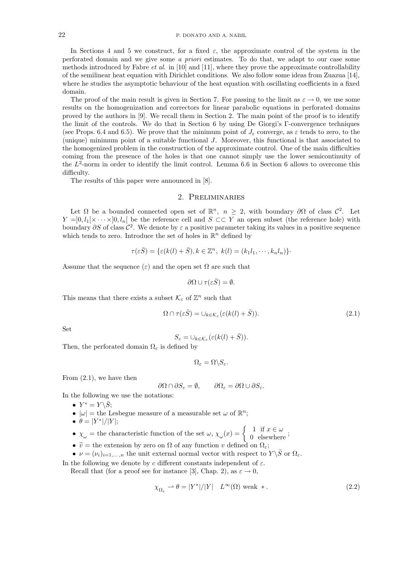In Sections 4 and 5 we construct, for a fixed  $\varepsilon$ , the approximate control of the system in the perforated domain and we give some a priori estimates. To do that, we adapt to our case some methods introduced by Fabre *et al.* in [10] and [11], where they prove the approximate controllability of the semilinear heat equation with Dirichlet conditions. We also follow some ideas from Zuazua [14], where he studies the asymptotic behaviour of the heat equation with oscillating coefficients in a fixed domain.

The proof of the main result is given in Section 7. For passing to the limit as  $\varepsilon \to 0$ , we use some results on the homogenization and correctors for linear parabolic equations in perforated domains proved by the authors in [9]. We recall them in Section 2. The main point of the proof is to identify the limit of the controls. We do that in Section 6 by using De Giorgi's Γ-convergence techniques (see Props. 6.4 and 6.5). We prove that the minimum point of  $J_{\varepsilon}$  converge, as  $\varepsilon$  tends to zero, to the (unique) minimum point of a suitable functional J. Moreover, this functional is that associated to the homogenized problem in the construction of the approximate control. One of the main difficulties coming from the presence of the holes is that one cannot simply use the lower semicontinuity of the  $L^2$ -norm in order to identify the limit control. Lemma 6.6 in Section 6 allows to overcome this difficulty.

The results of this paper were announced in [8].

### 2. Preliminaries

Let  $\Omega$  be a bounded connected open set of  $\mathbb{R}^n$ ,  $n \geq 2$ , with boundary  $\partial\Omega$  of class  $\mathcal{C}^2$ . Let  $Y = ]0, l_1[ \times \cdots \times ]0, l_n[$  be the reference cell and  $S \subset \subset Y$  an open subset (the reference hole) with boundary  $\partial S$  of class  $\mathcal{C}^2$ . We denote by  $\varepsilon$  a positive parameter taking its values in a positive sequence which tends to zero. Introduce the set of holes in  $\mathbb{R}^n$  defined by

$$
\tau(\varepsilon \overline{S}) = {\varepsilon(k(l) + \overline{S}), k \in \mathbb{Z}^n, k(l) = (k_1 l_1, \cdots, k_n l_n)}.
$$

Assume that the sequence  $(\varepsilon)$  and the open set  $\Omega$  are such that

$$
\partial\Omega \cup \tau(\varepsilon \bar{S}) = \emptyset.
$$

This means that there exists a subset  $\mathcal{K}_{\varepsilon}$  of  $\mathbb{Z}^n$  such that

$$
\Omega \cap \tau(\varepsilon \bar{S}) = \cup_{k \in \mathcal{K}_{\varepsilon}} (\varepsilon(k(l) + \bar{S})). \tag{2.1}
$$

Set

$$
S_{\varepsilon} = \cup_{k \in \mathcal{K}_{\varepsilon}} (\varepsilon(k(l) + \bar{S})).
$$

Then, the perforated domain  $\Omega_{\varepsilon}$  is defined by

$$
\Omega_{\varepsilon} = \Omega \backslash S_{\varepsilon}.
$$

From (2.1), we have then

$$
\partial\Omega \cap \partial S_{\varepsilon} = \emptyset, \qquad \partial\Omega_{\varepsilon} = \partial\Omega \cup \partial S_{\varepsilon}.
$$

In the following we use the notations:

- $Y^* = Y \backslash \overline{S}$ ;
- $|\omega|$  = the Lesbegue measure of a measurable set  $\omega$  of  $\mathbb{R}^n$ ;
- $\theta = |Y^*|/|Y|;$
- $\chi_{\omega}$  = the characteristic function of the set  $\omega$ ,  $\chi_{\omega}(x) = \begin{cases} 1 & \text{if } x \in \omega \\ 0 & \text{elsewhere} \end{cases}$ ;
- $\tilde{v}$  = the extension by zero on  $\Omega$  of any function v defined on  $\Omega_{\varepsilon}$ ;
- $\nu = (\nu_i)_{i=1,\ldots,n}$  the unit external normal vector with respect to  $Y \setminus \overline{S}$  or  $\Omega_{\varepsilon}$ .

In the following we denote by  $c$  different constants independent of  $\varepsilon$ . Recall that (for a proof see for instance [3], Chap. 2), as  $\varepsilon \to 0$ ,

$$
\chi_{\Omega_{\varepsilon}} \rightharpoonup \theta = |Y^*|/|Y| \quad L^{\infty}(\Omega) \text{ weak } *.
$$
\n
$$
(2.2)
$$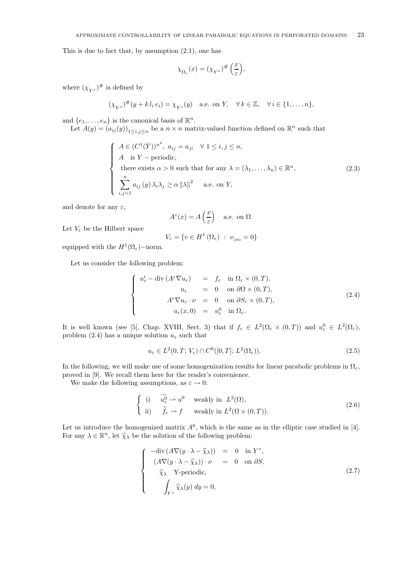This is due to fact that, by assumption  $(2.1)$ , one has

$$
\chi_{\Omega_{\varepsilon}}(x)=(\chi_{Y^*})^\#\left(\frac{x}{\varepsilon}\right),
$$

where  $(\chi_{V^*})^{\#}$  is defined by

$$
(\chi_{Y^*})^{\#}(y + k l_i e_i) = \chi_{Y^*}(y)
$$
 a.e. on Y,  $\forall k \in \mathbb{Z}, \forall i \in \{1, ..., n\},$ 

and  $\{e_1,\ldots,e_n\}$  is the canonical basis of  $\mathbb{R}^n$ .

Let  $A(y)=(a_{ij}(y))_{1\leq i,j\leq n}$  be a  $n\times n$  matrix-valued function defined on  $\mathbb{R}^n$  such that

$$
\begin{cases}\nA \in (C^1(\bar{Y}))^{n^2}, \ a_{ij} = a_{ji} \quad \forall \ 1 \le i, j \le n, \\
A \quad \text{is } Y - \text{periodic}, \\
\text{there exists } \alpha > 0 \text{ such that for any } \lambda = (\lambda_1, \dots, \lambda_n) \in \mathbb{R}^n, \\
\sum_{i,j=1}^n a_{ij}(y) \lambda_i \lambda_j \ge \alpha ||\lambda||^2 \quad \text{a.e. on } Y,\n\end{cases}
$$
\n(2.3)

and denote for any  $\varepsilon$ ,

$$
A^{\varepsilon}(x)=A\left(\frac{x}{\varepsilon}\right)\quad\text{a.e. on }\Omega.
$$

Let  $V_{\varepsilon}$  be the Hilbert space

$$
V_{\varepsilon} = \{ v \in H^1(\Omega_{\varepsilon}) \ : \ v_{|\partial \Omega} = 0 \}
$$

equipped with the  $H^1(\Omega_{\varepsilon})$ –norm.

Let us consider the following problem:

$$
\begin{cases}\nu'_{\varepsilon} - \operatorname{div} (A^{\varepsilon} \nabla u_{\varepsilon}) &= f_{\varepsilon} \quad \text{in } \Omega_{\varepsilon} \times (0, T), \\
u_{\varepsilon} &= 0 \quad \text{on } \partial \Omega \times (0, T), \\
A^{\varepsilon} \nabla u_{\varepsilon} \cdot \nu &= 0 \quad \text{on } \partial S_{\varepsilon} \times (0, T), \\
u_{\varepsilon}(x, 0) &= u_{\varepsilon}^{0} \quad \text{in } \Omega_{\varepsilon}.\n\end{cases}
$$
\n(2.4)

It is well known (see [5], Chap. XVIII, Sect. 3) that if  $f_{\varepsilon} \in L^2(\Omega_{\varepsilon} \times (0,T))$  and  $u_{\varepsilon}^0 \in L^2(\Omega_{\varepsilon})$ , problem (2.4) has a unique solution  $u_{\varepsilon}$  such that

$$
u_{\varepsilon} \in L^{2}(0, T; V_{\varepsilon}) \cap C^{0}([0, T]; L^{2}(\Omega_{\varepsilon})).
$$
\n(2.5)

In the following, we will make use of some homogenization results for linear parabolic problems in  $\Omega_{\varepsilon}$ , proved in [9]. We recall them here for the reader's convenience.

We make the following assumptions, as  $\varepsilon \to 0$ :

$$
\begin{cases}\n\text{i)} & \widetilde{u_{\varepsilon}^{0}} \rightharpoonup u^{0} \quad \text{weakly in } L^{2}(\Omega), \\
\text{ii)} & \widetilde{f_{\varepsilon}} \rightharpoonup f \quad \text{weakly in } L^{2}(\Omega \times (0, T)).\n\end{cases} \tag{2.6}
$$

Let us introduce the homogenized matrix  $A^0$ , which is the same as in the elliptic case studied in [4]. For any  $\lambda \in \mathbb{R}^n$ , let  $\widehat{\chi}_{\lambda}$  be the solution of the following problem:

$$
\begin{cases}\n-\text{div}\left(A\nabla(y\cdot\lambda-\widehat{\chi}_{\lambda})\right) &= 0 \quad \text{in } Y^*,\\ \n(A\nabla(y\cdot\lambda-\widehat{\chi}_{\lambda}))\cdot\nu &= 0 \quad \text{on } \partial S,\\ \n\widehat{\chi}_{\lambda} \quad \text{Y-periodic},\\ \n\int_{Y^*} \widehat{\chi}_{\lambda}(y) dy = 0,\n\end{cases} \tag{2.7}
$$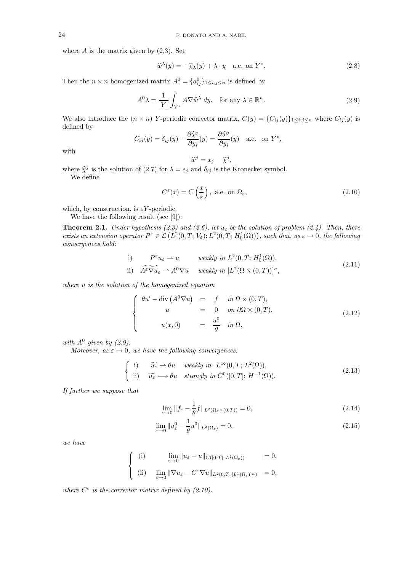where  $A$  is the matrix given by  $(2.3)$ . Set

$$
\widehat{w}^{\lambda}(y) = -\widehat{\chi}_{\lambda}(y) + \lambda \cdot y \quad \text{a.e. on } Y^*.
$$
 (2.8)

Then the  $n \times n$  homogenized matrix  $A^0 = \{a_{ij}^0\}_{1 \le i,j \le n}$  is defined by

$$
A^{0}\lambda = \frac{1}{|Y|} \int_{Y^{*}} A \nabla \widehat{w}^{\lambda} dy, \text{ for any } \lambda \in \mathbb{R}^{n}.
$$
 (2.9)

We also introduce the  $(n \times n)$  Y-periodic corrector matrix,  $C(y) = \{C_{ij}(y)\}_{1 \le i,j \le n}$  where  $C_{ij}(y)$  is defined by

$$
C_{ij}(y) = \delta_{ij}(y) - \frac{\partial \widehat{\chi}^j}{\partial y_i}(y) = \frac{\partial \widehat{w}^j}{\partial y_i}(y) \quad \text{a.e. on } Y^*,
$$

with

$$
\widehat{w}^j = x_j - \widehat{\chi}^j,
$$

where  $\hat{\chi}^j$  is the solution of (2.7) for  $\lambda = e_j$  and  $\delta_{ij}$  is the Kronecker symbol.

We define

$$
C^{\varepsilon}(x) = C\left(\frac{x}{\varepsilon}\right), \text{ a.e. on } \Omega_{\varepsilon},\tag{2.10}
$$

which, by construction, is  $\varepsilon Y$ -periodic.

We have the following result (see [9]):

**Theorem 2.1.** Under hypothesis (2.3) and (2.6), let  $u_{\varepsilon}$  be the solution of problem (2.4). Then, there exists an extension operator  $P^{\varepsilon} \in \mathcal{L}(L^2(0,T;V_{\varepsilon});L^2(0,T;H^1_0(\Omega)))$ , such that, as  $\varepsilon \to 0$ , the following convergences hold:

i) 
$$
P^{\varepsilon}u_{\varepsilon} \rightharpoonup u
$$
 weakly in  $L^2(0, T; H_0^1(\Omega)),$   
\nii)  $\widehat{A^{\varepsilon}\nabla u_{\varepsilon}} \rightharpoonup A^0 \nabla u$  weakly in  $[L^2(\Omega \times (0, T))]^n$ , (2.11)

where u is the solution of the homogenized equation

$$
\begin{cases}\n\theta u' - \operatorname{div}\left(A^{0} \nabla u\right) & = & f \quad \text{in } \Omega \times (0, T), \\
u & = & 0 \quad \text{on } \partial \Omega \times (0, T), \\
u(x, 0) & = & \frac{u^{0}}{\theta} \quad \text{in } \Omega,\n\end{cases}
$$
\n(2.12)

with  $A^0$  given by  $(2.9)$ .

Moreover, as  $\varepsilon \to 0$ , we have the following convergences:

$$
\begin{cases}\n\text{i)} & \widetilde{u_{\varepsilon}} \to \theta u \quad weakly \text{ in } \ L^{\infty}(0,T; \ L^{2}(\Omega)), \\
\text{ii)} & \widetilde{u_{\varepsilon}} \longrightarrow \theta u \quad strongly \text{ in } C^{0}([0,T]; \ H^{-1}(\Omega)).\n\end{cases} \tag{2.13}
$$

If further we suppose that

$$
\lim_{\varepsilon \to 0} \|f_{\varepsilon} - \frac{1}{\theta} f\|_{L^2(\Omega_{\varepsilon} \times (0,T))} = 0,
$$
\n(2.14)

$$
\lim_{\varepsilon \to 0} \|u_{\varepsilon}^0 - \frac{1}{\theta}u^0\|_{L^2(\Omega_{\varepsilon})} = 0,
$$
\n(2.15)

we have

$$
\begin{cases}\n(i) & \lim_{\varepsilon \to 0} \|u_{\varepsilon} - u\|_{C([0,T]; L^2(\Omega_{\varepsilon}))} = 0, \\
(ii) & \lim_{\varepsilon \to 0} \|\nabla u_{\varepsilon} - C^{\varepsilon} \nabla u\|_{L^2(0,T;[L^1(\Omega_{\varepsilon})]^n)} = 0,\n\end{cases}
$$

where  $C^{\varepsilon}$  is the corrector matrix defined by (2.10).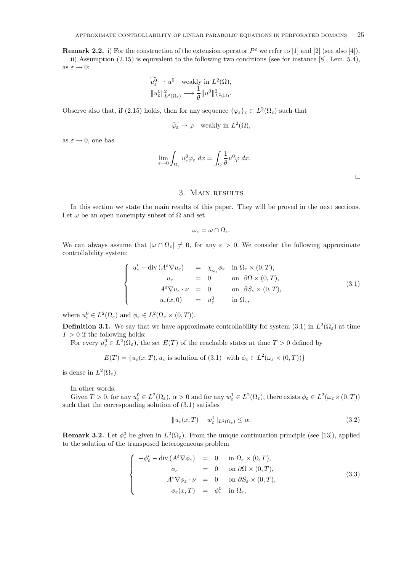**Remark 2.2.** i) For the construction of the extension operator  $P^{\varepsilon}$  we refer to [1] and [2] (see also [4]). ii) Assumption (2.15) is equivalent to the following two conditions (see for instance [8], Lem. 5.4), as  $\varepsilon\to 0$ :

$$
\widetilde{u_{\varepsilon}^0} \rightharpoonup u^0 \quad \text{weakly in } L^2(\Omega),
$$
  
 $\|u_{\varepsilon}^0\|_{L^2(\Omega_{\varepsilon})}^2 \longrightarrow \frac{1}{\theta} \|u^0\|_{L^2(\Omega)}^2.$ 

Observe also that, if (2.15) holds, then for any sequence  $\{\varphi_{\varepsilon}\}_{\varepsilon} \subset L^2(\Omega_{\varepsilon})$  such that

$$
\widetilde{\varphi_{\varepsilon}} \rightharpoonup \varphi \quad \text{weakly in } L^2(\Omega),
$$

as  $\varepsilon \to 0$ , one has

$$
\lim_{\varepsilon \to 0} \int_{\Omega_{\varepsilon}} u_{\varepsilon}^0 \varphi_{\varepsilon} dx = \int_{\Omega} \frac{1}{\theta} u^0 \varphi dx.
$$

## 3. Main results

In this section we state the main results of this paper. They will be proved in the next sections. Let  $\omega$  be an open nonempty subset of  $\Omega$  and set

 $\omega_{\varepsilon} = \omega \cap \Omega_{\varepsilon}.$ 

We can always assume that  $|\omega \cap \Omega_{\varepsilon}| \neq 0$ , for any  $\varepsilon > 0$ . We consider the following approximate controllability system:

$$
\begin{cases}\nu'_{\varepsilon} - \operatorname{div}\left(A^{\varepsilon}\nabla u_{\varepsilon}\right) &= \chi_{\omega_{\varepsilon}}\phi_{\varepsilon} \quad \text{in } \Omega_{\varepsilon} \times (0,T), \\
u_{\varepsilon} &= 0 \quad \text{on } \partial\Omega \times (0,T), \\
A^{\varepsilon}\nabla u_{\varepsilon} \cdot \nu &= 0 \quad \text{on } \partial S_{\varepsilon} \times (0,T), \\
u_{\varepsilon}(x,0) &= u_{\varepsilon}^{0} \quad \text{in } \Omega_{\varepsilon},\n\end{cases} \tag{3.1}
$$

where  $u_{\varepsilon}^0 \in L^2(\Omega_{\varepsilon})$  and  $\phi_{\varepsilon} \in L^2(\Omega_{\varepsilon} \times (0,T)).$ 

**Definition 3.1.** We say that we have approximate controllability for system (3.1) in  $L^2(\Omega_\varepsilon)$  at time  $T > 0$  if the following holds:

For every  $u_{\varepsilon}^0 \in L^2(\Omega_{\varepsilon})$ , the set  $E(T)$  of the reachable states at time  $T > 0$  defined by

$$
E(T) = \{u_{\varepsilon}(x,T), u_{\varepsilon} \text{ is solution of (3.1) with } \phi_{\varepsilon} \in L^{2}(\omega_{\varepsilon} \times (0,T))\}
$$

is dense in  $L^2(\Omega_\varepsilon)$ .

In other words:

Given  $T > 0$ , for any  $u_{\varepsilon}^0 \in L^2(\Omega_{\varepsilon}), \alpha > 0$  and for any  $w_{\varepsilon}^1 \in L^2(\Omega_{\varepsilon})$ , there exists  $\phi_{\varepsilon} \in L^2(\omega_{\varepsilon} \times (0,T))$ such that the corresponding solution of (3.1) satisfies

$$
||u_{\varepsilon}(x,T) - w_{\varepsilon}^{1}||_{L^{2}(\Omega_{\varepsilon})} \leq \alpha.
$$
\n(3.2)

**Remark 3.2.** Let  $\phi_{\varepsilon}^0$  be given in  $L^2(\Omega_{\varepsilon})$ . From the unique continuation principle (see [13]), applied to the solution of the transposed heterogeneous problem

$$
\begin{cases}\n-\phi'_{\varepsilon} - \operatorname{div}\left(A^{\varepsilon}\nabla\phi_{\varepsilon}\right) & = & 0 \quad \text{in } \Omega_{\varepsilon} \times (0, T), \\
\phi_{\varepsilon} & = & 0 \quad \text{on } \partial\Omega \times (0, T), \\
A^{\varepsilon}\nabla\phi_{\varepsilon} \cdot \nu & = & 0 \quad \text{on } \partial S_{\varepsilon} \times (0, T), \\
\phi_{\varepsilon}(x, T) & = & \phi_{\varepsilon}^{0} \quad \text{in } \Omega_{\varepsilon},\n\end{cases}
$$
\n(3.3)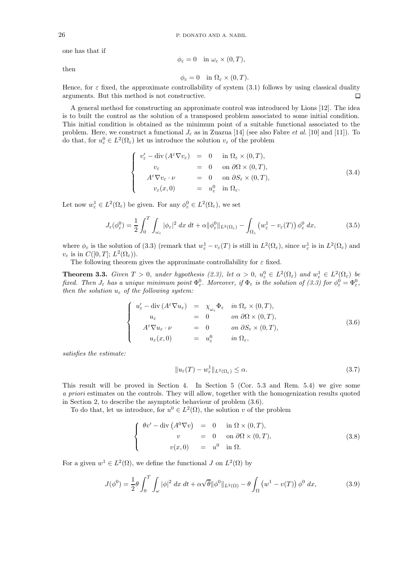one has that if

$$
\phi_{\varepsilon}=0 \quad \text{in } \omega_{\varepsilon} \times (0,T),
$$

then

$$
\phi_{\varepsilon} = 0 \quad \text{in } \Omega_{\varepsilon} \times (0, T).
$$

Hence, for  $\varepsilon$  fixed, the approximate controllability of system (3.1) follows by using classical duality arguments. But this method is not constructive.  $\Box$ 

A general method for constructing an approximate control was introduced by Lions [12]. The idea is to built the control as the solution of a transposed problem associated to some initial condition. This initial condition is obtained as the minimum point of a suitable functional associated to the problem. Here, we construct a functional  $J_{\varepsilon}$  as in Zuazua [14] (see also Fabre *et al.* [10] and [11]). To do that, for  $u_{\varepsilon}^0 \in L^2(\Omega_{\varepsilon})$  let us introduce the solution  $v_{\varepsilon}$  of the problem

$$
\begin{cases}\nv'_{\varepsilon} - \operatorname{div} (A^{\varepsilon} \nabla v_{\varepsilon}) = 0 & \text{in } \Omega_{\varepsilon} \times (0, T), \\
v_{\varepsilon} = 0 & \text{on } \partial \Omega \times (0, T), \\
A^{\varepsilon} \nabla v_{\varepsilon} \cdot \nu = 0 & \text{on } \partial S_{\varepsilon} \times (0, T), \\
v_{\varepsilon}(x, 0) = u_{\varepsilon}^{0} & \text{in } \Omega_{\varepsilon}.\n\end{cases}
$$
\n(3.4)

Let now  $w_{\varepsilon}^1 \in L^2(\Omega_{\varepsilon})$  be given. For any  $\phi_{\varepsilon}^0 \in L^2(\Omega_{\varepsilon})$ , we set

$$
J_{\varepsilon}(\phi_{\varepsilon}^{0}) = \frac{1}{2} \int_{0}^{T} \int_{\omega_{\varepsilon}} |\phi_{\varepsilon}|^{2} dx dt + \alpha ||\phi_{\varepsilon}^{0}||_{L^{2}(\Omega_{\varepsilon})} - \int_{\Omega_{\varepsilon}} \left( w_{\varepsilon}^{1} - v_{\varepsilon}(T) \right) \phi_{\varepsilon}^{0} dx,
$$
\n(3.5)

where  $\phi_{\varepsilon}$  is the solution of (3.3) (remark that  $w_{\varepsilon}^1 - v_{\varepsilon}(T)$  is still in  $L^2(\Omega_{\varepsilon})$ , since  $w_{\varepsilon}^1$  is in  $L^2(\Omega_{\varepsilon})$  and  $v_{\varepsilon}$  is in  $C([0,T]; L^2(\Omega_{\varepsilon}))$ .

The following theorem gives the approximate controllability for  $\varepsilon$  fixed.

**Theorem 3.3.** Given  $T > 0$ , under hypothesis (2.3), let  $\alpha > 0$ ,  $u_{\varepsilon}^0 \in L^2(\Omega_{\varepsilon})$  and  $w_{\varepsilon}^1 \in L^2(\Omega_{\varepsilon})$  be fixed. Then  $J_\varepsilon$  has a unique minimum point  $\Phi_\varepsilon^0$ . Moreover, if  $\Phi_\varepsilon$  is the solution of (3.3) for  $\phi_\varepsilon^0 = \Phi_\varepsilon^0$ , then the solution  $u_{\varepsilon}$  of the following system:

$$
\begin{cases}\nu'_{\varepsilon} - \operatorname{div} (A^{\varepsilon} \nabla u_{\varepsilon}) &= \chi_{\omega_{\varepsilon}} \Phi_{\varepsilon} \quad in \ \Omega_{\varepsilon} \times (0, T), \\
u_{\varepsilon} &= 0 \quad on \ \partial \Omega \times (0, T), \\
A^{\varepsilon} \nabla u_{\varepsilon} \cdot \nu &= 0 \quad on \ \partial S_{\varepsilon} \times (0, T), \\
u_{\varepsilon}(x, 0) &= u_{\varepsilon}^{0} \quad in \ \Omega_{\varepsilon},\n\end{cases}
$$
\n(3.6)

satisfies the estimate:

$$
||u_{\varepsilon}(T) - w_{\varepsilon}^1||_{L^2(\Omega_{\varepsilon})} \le \alpha.
$$
\n(3.7)

This result will be proved in Section 4. In Section 5 (Cor. 5.3 and Rem. 5.4) we give some a priori estimates on the controls. They will allow, together with the homogenization results quoted in Section 2, to describe the asymptotic behaviour of problem (3.6).

To do that, let us introduce, for  $u^0 \in L^2(\Omega)$ , the solution v of the problem

$$
\begin{cases}\n\theta v' - \operatorname{div} (A^0 \nabla v) = 0 & \text{in } \Omega \times (0, T), \\
v = 0 & \text{on } \partial \Omega \times (0, T), \\
v(x, 0) = u^0 & \text{in } \Omega.\n\end{cases}
$$
\n(3.8)

For a given  $w^1 \in L^2(\Omega)$ , we define the functional J on  $L^2(\Omega)$  by

$$
J(\phi^0) = \frac{1}{2}\theta \int_0^T \int_\omega |\phi|^2 \, dx \, dt + \alpha \sqrt{\theta} ||\phi^0||_{L^2(\Omega)} - \theta \int_\Omega \left( w^1 - v(T) \right) \phi^0 \, dx,\tag{3.9}
$$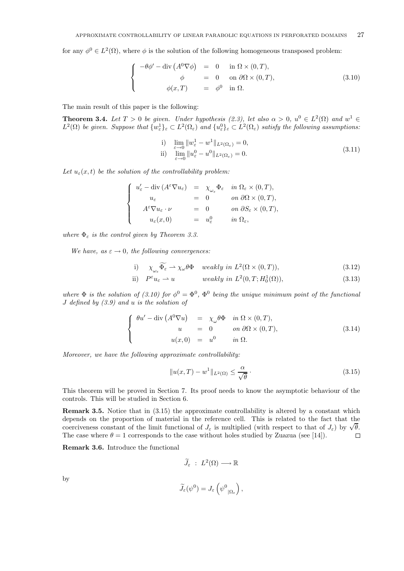for any  $\phi^0 \in L^2(\Omega)$ , where  $\phi$  is the solution of the following homogeneous transposed problem:

$$
\begin{cases}\n-\theta \phi' - \operatorname{div} (A^0 \nabla \phi) = 0 & \text{in } \Omega \times (0, T), \\
\phi = 0 & \text{on } \partial \Omega \times (0, T), \\
\phi(x, T) = \phi^0 & \text{in } \Omega.\n\end{cases}
$$
\n(3.10)

The main result of this paper is the following:

**Theorem 3.4.** Let  $T > 0$  be given. Under hypothesis (2.3), let also  $\alpha > 0$ ,  $u^0 \in L^2(\Omega)$  and  $w^1 \in$  $L^2(\Omega)$  be given. Suppose that  $\{w^1_{\varepsilon}\}_\varepsilon \subset L^2(\Omega_{\varepsilon})$  and  $\{u^0_{\varepsilon}\}_\varepsilon \subset L^2(\Omega_{\varepsilon})$  satisfy the following assumptions:

i) 
$$
\lim_{\varepsilon \to 0} \|w_{\varepsilon}^1 - w^1\|_{L^2(\Omega_{\varepsilon})} = 0,
$$
  
ii)  $\lim_{\varepsilon \to 0} \|u_{\varepsilon}^0 - u^0\|_{L^2(\Omega_{\varepsilon})} = 0.$  (3.11)

Let  $u_{\varepsilon}(x,t)$  be the solution of the controllability problem:

$$
\left\{\begin{array}{rcl} u'_\varepsilon -\operatorname{div}\left(A^\varepsilon \nabla u_\varepsilon\right) & = & \chi_{\omega_\varepsilon} \Phi_\varepsilon & \text{in } \Omega_\varepsilon \times (0,T), \\ u_\varepsilon & = & 0 & \text{on } \partial \Omega \times (0,T), \\ A^\varepsilon \nabla u_\varepsilon \cdot \nu & = & 0 & \text{on } \partial S_\varepsilon \times (0,T), \\ u_\varepsilon(x,0) & = & u_\varepsilon^0 & \text{in } \Omega_\varepsilon, \end{array}\right.
$$

where  $\Phi_{\varepsilon}$  is the control given by Theorem 3.3.

We have, as  $\varepsilon \to 0$ , the following convergences:

i) 
$$
\chi_{\omega_{\varepsilon}} \overline{\Phi_{\varepsilon}} \to \chi_{\omega} \theta \Phi
$$
 weakly in  $L^2(\Omega \times (0, T))$ ,  $(3.12)$ 

ii) 
$$
P^{\varepsilon}u_{\varepsilon} \rightharpoonup u
$$
 weakly in  $L^2(0,T; H_0^1(\Omega))$ ,  $(3.13)$ 

where  $\Phi$  is the solution of (3.10) for  $\phi^0 = \Phi^0$ ,  $\Phi^0$  being the unique minimum point of the functional J defined by (3.9) and u is the solution of

$$
\begin{cases}\n\theta u' - \operatorname{div} (A^0 \nabla u) & = \chi_\omega \theta \Phi & \text{in } \Omega \times (0, T), \\
u & = 0 \qquad \text{on } \partial \Omega \times (0, T), \\
u(x, 0) & = u^0 \qquad \text{in } \Omega.\n\end{cases}
$$
\n(3.14)

Moreover, we have the following approximate controllability:

$$
||u(x,T) - w1||_{L^{2}(\Omega)} \le \frac{\alpha}{\sqrt{\theta}}.
$$
\n(3.15)

This theorem will be proved in Section 7. Its proof needs to know the asymptotic behaviour of the controls. This will be studied in Section 6.

**Remark 3.5.** Notice that in  $(3.15)$  the approximate controllability is altered by a constant which depends on the proportion of material in the reference cell. This is related to the fact that the depends on the proportion of material in the reference cent. This is related to the lact that the coerciveness constant of the limit functional of  $J_{\varepsilon}$  is multiplied (with respect to that of  $J_{\varepsilon}$ ) by  $\sqrt{\theta}$ . The case where  $\theta = 1$  corresponds to the case without holes studied by Zuazua (see [14]).  $\Box$ 

**Remark 3.6.** Introduce the functional

$$
\widetilde{J}_{\varepsilon} \; : \; L^2(\Omega) \longrightarrow \mathbb{R}
$$

by

$$
\widetilde{J}_{\varepsilon}(\psi^0) = J_{\varepsilon}\left(\psi^0_{|\Omega_{\varepsilon}}\right),\,
$$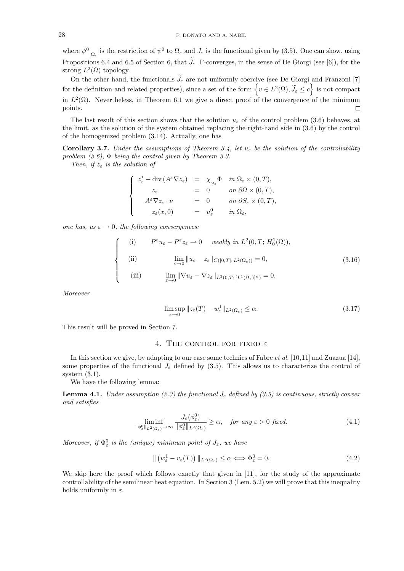where  $\psi^0_{|\Omega_{\varepsilon}}$  is the restriction of  $\psi^0$  to  $\Omega_{\varepsilon}$  and  $J_{\varepsilon}$  is the functional given by (3.5). One can show, using Propositions 6.4 and 6.5 of Section 6, that  $J_{\varepsilon}$  F-converges, in the sense of De Giorgi (see [6]), for the strong  $L^2(\Omega)$  topology.

On the other hand, the functionals  $J_{\varepsilon}$  are not uniformly coercive (see De Giorgi and Franzoni [7] for the definition and related properties), since a set of the form  $\left\{v \in L^2(\Omega), \tilde{J}_\varepsilon \leq c\right\}$  is not compact in  $L^2(\Omega)$ . Nevertheless, in Theorem 6.1 we give a direct proof of the convergence of the minimum points.  $\Box$ 

The last result of this section shows that the solution  $u_{\varepsilon}$  of the control problem (3.6) behaves, at the limit, as the solution of the system obtained replacing the right-hand side in (3.6) by the control of the homogenized problem (3.14). Actually, one has

**Corollary 3.7.** Under the assumptions of Theorem 3.4, let  $u_{\varepsilon}$  be the solution of the controllability problem  $(3.6)$ ,  $\Phi$  being the control given by Theorem 3.3.

Then, if  $z_{\varepsilon}$  is the solution of

$$
\label{eq:zeta} \left\{ \begin{array}{rcl} z'_\varepsilon - \hbox{div}\,(A^\varepsilon \nabla z_\varepsilon) &=& \chi_{\omega_\varepsilon} \Phi \quad \text{in} \ \Omega_\varepsilon \times (0,T), \\ z_\varepsilon &=& 0 \qquad \text{on} \ \partial \Omega \times (0,T), \\ A^\varepsilon \nabla z_\varepsilon \cdot \nu &=& 0 \qquad \text{on} \ \partial S_\varepsilon \times (0,T), \\ z_\varepsilon(x,0) &=& u_\varepsilon^0 \qquad \text{in} \ \Omega_\varepsilon, \end{array} \right.
$$

one has, as  $\varepsilon \to 0$ , the following convergences:

$$
\begin{cases}\n(i) & P^{\varepsilon}u_{\varepsilon} - P^{\varepsilon}z_{\varepsilon} \to 0 \quad weakly \text{ in } L^{2}(0, T; H_{0}^{1}(\Omega)), \\
(iii) & \lim_{\varepsilon \to 0} ||u_{\varepsilon} - z_{\varepsilon}||_{C([0, T]; L^{2}(\Omega_{\varepsilon}))} = 0, \\
(iii) & \lim_{\varepsilon \to 0} ||\nabla u_{\varepsilon} - \nabla z_{\varepsilon}||_{L^{2}(0, T; [L^{1}(\Omega_{\varepsilon})]^{n})} = 0.\n\end{cases}
$$
\n(3.16)

Moreover

$$
\limsup_{\varepsilon \to 0} \|z_{\varepsilon}(T) - w_{\varepsilon}^1\|_{L^2(\Omega_{\varepsilon})} \le \alpha.
$$
\n(3.17)

This result will be proved in Section 7.

## 4. THE CONTROL FOR FIXED  $\varepsilon$

In this section we give, by adapting to our case some technics of Fabre et al. [10,11] and Zuazua [14], some properties of the functional  $J_{\varepsilon}$  defined by (3.5). This allows us to characterize the control of system (3.1).

We have the following lemma:

**Lemma 4.1.** Under assumption (2.3) the functional  $J_{\varepsilon}$  defined by (3.5) is continuous, strictly convex and satisfies

$$
\liminf_{\|\phi^0_{\varepsilon}\|_{L^2(\Omega_{\varepsilon})}\to\infty} \frac{J_{\varepsilon}(\phi^0_{\varepsilon})}{\|\phi^0_{\varepsilon}\|_{L^2(\Omega_{\varepsilon})}} \ge \alpha, \quad \text{for any } \varepsilon > 0 \text{ fixed.} \tag{4.1}
$$

Moreover, if  $\Phi_{\varepsilon}^{0}$  is the (unique) minimum point of  $J_{\varepsilon}$ , we have

$$
\| (w_{\varepsilon}^1 - v_{\varepsilon}(T)) \|_{L^2(\Omega_{\varepsilon})} \le \alpha \Longleftrightarrow \Phi_{\varepsilon}^0 = 0.
$$
\n(4.2)

We skip here the proof which follows exactly that given in [11], for the study of the approximate controllability of the semilinear heat equation. In Section 3 (Lem. 5.2) we will prove that this inequality holds uniformly in  $\varepsilon$ .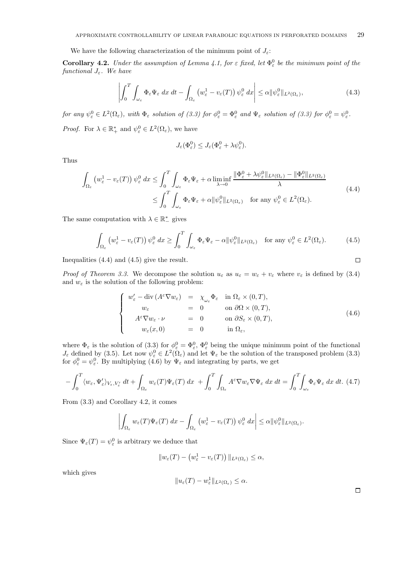We have the following characterization of the minimum point of  $J_{\varepsilon}$ :

**Corollary 4.2.** Under the assumption of Lemma 4.1, for  $\varepsilon$  fixed, let  $\Phi_{\varepsilon}^{0}$  be the minimum point of the functional  $J_{\varepsilon}$ . We have

$$
\left| \int_0^T \int_{\omega_{\varepsilon}} \Phi_{\varepsilon} \Psi_{\varepsilon} dx dt - \int_{\Omega_{\varepsilon}} \left( w_{\varepsilon}^1 - v_{\varepsilon}(T) \right) \psi_{\varepsilon}^0 dx \right| \leq \alpha \|\psi_{\varepsilon}^0\|_{L^2(\Omega_{\varepsilon})},
$$
(4.3)

for any  $\psi^0_\varepsilon \in L^2(\Omega_\varepsilon)$ , with  $\Phi_\varepsilon$  solution of (3.3) for  $\phi^0_\varepsilon = \Phi^0_\varepsilon$  and  $\Psi_\varepsilon$  solution of (3.3) for  $\phi^0_\varepsilon = \psi^0_\varepsilon$ . *Proof.* For  $\lambda \in \mathbb{R}_+^*$  and  $\psi_\varepsilon^0 \in L^2(\Omega_\varepsilon)$ , we have

$$
J_{\varepsilon}(\Phi_{\varepsilon}^0) \leq J_{\varepsilon}(\Phi_{\varepsilon}^0 + \lambda \psi_{\varepsilon}^0).
$$

Thus

$$
\int_{\Omega_{\varepsilon}} \left( w_{\varepsilon}^{1} - v_{\varepsilon}(T) \right) \psi_{\varepsilon}^{0} dx \le \int_{0}^{T} \int_{\omega_{\varepsilon}} \Phi_{\varepsilon} \Psi_{\varepsilon} + \alpha \liminf_{\lambda \to 0} \frac{\|\Phi_{\varepsilon}^{0} + \lambda \psi_{\varepsilon}^{0}\|_{L^{2}(\Omega_{\varepsilon})} - \|\Phi_{\varepsilon}^{0}\|_{L^{2}(\Omega_{\varepsilon})}}{\lambda} \le \int_{0}^{T} \int_{\omega_{\varepsilon}} \Phi_{\varepsilon} \Psi_{\varepsilon} + \alpha \|\psi_{\varepsilon}^{0}\|_{L^{2}(\Omega_{\varepsilon})} \quad \text{for any } \psi_{\varepsilon}^{0} \in L^{2}(\Omega_{\varepsilon}).
$$
\n(4.4)

The same computation with  $\lambda \in \mathbb{R}^*_-$  gives

$$
\int_{\Omega_{\varepsilon}} \left( w_{\varepsilon}^1 - v_{\varepsilon}(T) \right) \psi_{\varepsilon}^0 \, dx \ge \int_0^T \int_{\omega_{\varepsilon}} \Phi_{\varepsilon} \Psi_{\varepsilon} - \alpha \| \psi_{\varepsilon}^0 \|_{L^2(\Omega_{\varepsilon})} \quad \text{for any } \psi_{\varepsilon}^0 \in L^2(\Omega_{\varepsilon}). \tag{4.5}
$$

Inequalities (4.4) and (4.5) give the result.

*Proof of Theorem 3.3.* We decompose the solution  $u_{\varepsilon}$  as  $u_{\varepsilon} = w_{\varepsilon} + v_{\varepsilon}$  where  $v_{\varepsilon}$  is defined by (3.4) and  $w_{\varepsilon}$  is the solution of the following problem:

$$
\begin{cases}\nw'_{\varepsilon} - \operatorname{div} (A^{\varepsilon} \nabla w_{\varepsilon}) &= \chi_{\omega_{\varepsilon}} \Phi_{\varepsilon} \quad \text{in } \Omega_{\varepsilon} \times (0, T), \\
w_{\varepsilon} &= 0 \quad \text{on } \partial \Omega \times (0, T), \\
A^{\varepsilon} \nabla w_{\varepsilon} \cdot \nu &= 0 \quad \text{on } \partial S_{\varepsilon} \times (0, T), \\
w_{\varepsilon}(x, 0) &= 0 \quad \text{in } \Omega_{\varepsilon},\n\end{cases} (4.6)
$$

where  $\Phi_{\varepsilon}$  is the solution of (3.3) for  $\phi_{\varepsilon}^{0} = \Phi_{\varepsilon}^{0}$ ,  $\Phi_{\varepsilon}^{0}$  being the unique minimum point of the functional  $J_{\varepsilon}$  defined by (3.5). Let now  $\psi_{\varepsilon}^0 \in L^2(\Omega_{\varepsilon})$  and let  $\Psi_{\varepsilon}$  be the solution of the transposed problem (3.3) for  $\phi_{\varepsilon}^{0} = \psi_{\varepsilon}^{0}$ . By multiplying (4.6) by  $\Psi_{\varepsilon}$  and integrating by parts, we get

$$
-\int_0^T \langle w_\varepsilon, \Psi'_\varepsilon \rangle_{V_\varepsilon, V'_\varepsilon} dt + \int_{\Omega_\varepsilon} w_\varepsilon(T) \Psi_\varepsilon(T) dx + \int_0^T \int_{\Omega_\varepsilon} A^\varepsilon \nabla w_\varepsilon \nabla \Psi_\varepsilon dx dt = \int_0^T \int_{\omega_\varepsilon} \Phi_\varepsilon \Psi_\varepsilon dx dt. (4.7)
$$

From (3.3) and Corollary 4.2, it comes

$$
\left| \int_{\Omega_{\varepsilon}} w_{\varepsilon}(T) \Psi_{\varepsilon}(T) \, dx - \int_{\Omega_{\varepsilon}} \left( w_{\varepsilon}^1 - v_{\varepsilon}(T) \right) \psi_{\varepsilon}^0 \, dx \right| \leq \alpha \|\psi_{\varepsilon}^0\|_{L^2(\Omega_{\varepsilon})}.
$$

Since  $\Psi_{\varepsilon}(T) = \psi_{\varepsilon}^0$  is arbitrary we deduce that

$$
||w_{\varepsilon}(T) - (w_{\varepsilon}^1 - v_{\varepsilon}(T))||_{L^2(\Omega_{\varepsilon})} \leq \alpha,
$$

which gives

$$
||u_{\varepsilon}(T)-w_{\varepsilon}^1||_{L^2(\Omega_{\varepsilon})}\leq \alpha.
$$

 $\Box$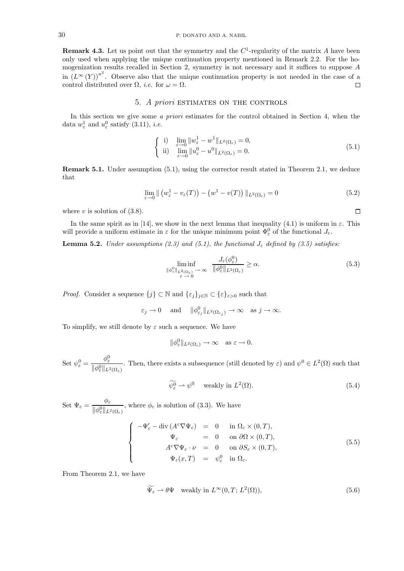**Remark 4.3.** Let us point out that the symmetry and the  $C^1$ -regularity of the matrix A have been only used when applying the unique continuation property mentioned in Remark 2.2. For the homogenization results recalled in Section 2, symmetry is not necessary and it suffices to suppose A in  $(L^{\infty}(Y))^{n^2}$ . Observe also that the unique continuation property is not needed in the case of a control distributed over  $\Omega$ , *i.e.* for  $\omega = \Omega$ .  $\Box$ 

### 5. A priori ESTIMATES ON THE CONTROLS

In this section we give some a priori estimates for the control obtained in Section 4, when the data  $w_{\varepsilon}^1$  and  $u_{\varepsilon}^0$  satisfy (3.11), *i.e.* 

$$
\begin{cases}\n\text{i)} \quad \lim_{\varepsilon \to 0} \|w_{\varepsilon}^1 - w^1\|_{L^2(\Omega_{\varepsilon})} = 0, \\
\text{ii)} \quad \lim_{\varepsilon \to 0} \|u_{\varepsilon}^0 - u^0\|_{L^2(\Omega_{\varepsilon})} = 0.\n\end{cases} \tag{5.1}
$$

**Remark 5.1.** Under assumption (5.1), using the corrector result stated in Theorem 2.1, we deduce that

$$
\lim_{\varepsilon \to 0} \| \left( w_{\varepsilon}^1 - v_{\varepsilon}(T) \right) - \left( w^1 - v(T) \right) \|_{L^2(\Omega_{\varepsilon})} = 0 \tag{5.2}
$$

where  $v$  is solution of  $(3.8)$ .

In the same spirit as in [14], we show in the next lemma that inequality (4.1) is uniform in  $\varepsilon$ . This will provide a uniform estimate in  $\varepsilon$  for the unique minimum point  $\Phi_{\varepsilon}^0$  of the functional  $J_{\varepsilon}$ .

**Lemma 5.2.** Under assumptions (2.3) and (5.1), the functional  $J_{\varepsilon}$  defined by (3.5) satisfies:

$$
\liminf_{\substack{\|\phi_{\varepsilon}^{0}\|_{L^{2}(\Omega_{\varepsilon})}\to\infty \\ \varepsilon\to 0}}\frac{J_{\varepsilon}(\phi_{\varepsilon}^{0})}{\|\phi_{\varepsilon}^{0}\|_{L^{2}(\Omega_{\varepsilon})}}\geq\alpha.
$$
\n(5.3)

*Proof.* Consider a sequence  $\{j\} \subset \mathbb{N}$  and  $\{\varepsilon_j\}_{j \in \mathbb{N}} \subset \{\varepsilon\}_{\varepsilon > 0}$  such that

$$
\varepsilon_j \to 0 \quad \text{ and } \quad \|\phi^0_{\varepsilon_j}\|_{L^2(\Omega_{\varepsilon_j})} \to \infty \quad \text{as } j \to \infty.
$$

To simplify, we still denote by  $\varepsilon$  such a sequence. We have

$$
\|\phi_{\varepsilon}^0\|_{L^2(\Omega_{\varepsilon})}\to\infty \quad \text{as } \varepsilon\to 0.
$$

Set  $\psi_{\varepsilon}^0 = \frac{\phi_{\varepsilon}^0}{\|\phi_0\|_{\varepsilon}}$  $\|\phi_{\varepsilon}^0\|_{L^2(\Omega_{\varepsilon})}$ . Then, there exists a subsequence (still denoted by  $\varepsilon$ ) and  $\psi^0 \in L^2(\Omega)$  such that

$$
\widetilde{\psi^0_\varepsilon} \rightharpoonup \psi^0 \quad \text{ weakly in } L^2(\Omega). \tag{5.4}
$$

Set  $\Psi_{\varepsilon} = \frac{\phi_{\varepsilon}}{\|\phi_{\varepsilon}^0\|_{L^2(\Omega_{\varepsilon})}},$  where  $\phi_{\varepsilon}$  is solution of (3.3). We have

$$
\begin{cases}\n-\Psi'_{\varepsilon} - \operatorname{div}\left(A^{\varepsilon}\nabla\Psi_{\varepsilon}\right) & = & 0 \quad \text{in } \Omega_{\varepsilon} \times (0,T), \\
\Psi_{\varepsilon} & = & 0 \quad \text{on } \partial\Omega \times (0,T), \\
A^{\varepsilon}\nabla\Psi_{\varepsilon} \cdot \nu & = & 0 \quad \text{on } \partial S_{\varepsilon} \times (0,T), \\
\Psi_{\varepsilon}(x,T) & = & \psi_{\varepsilon}^{0} \quad \text{in } \Omega_{\varepsilon}.\n\end{cases} \tag{5.5}
$$

From Theorem 2.1, we have

$$
\widetilde{\Psi_{\varepsilon}} \rightharpoonup \theta \Psi \quad \text{weakly in } L^{\infty}(0, T; L^{2}(\Omega)), \tag{5.6}
$$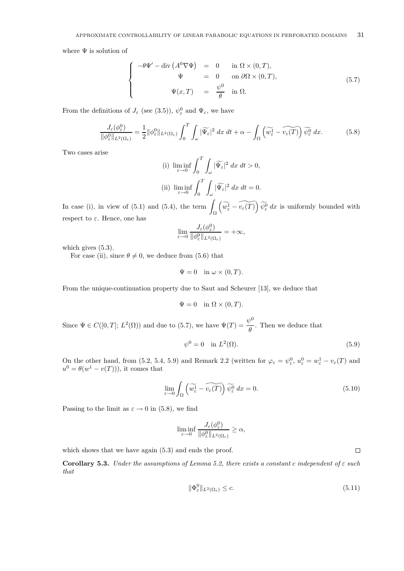where  $\Psi$  is solution of

$$
\begin{cases}\n-\theta \Psi' - \operatorname{div} (A^0 \nabla \Psi) = 0 & \text{in } \Omega \times (0, T), \\
\Psi = 0 & \text{on } \partial \Omega \times (0, T), \\
\Psi(x, T) = \frac{\psi^0}{\theta} & \text{in } \Omega.\n\end{cases}
$$
\n(5.7)

From the definitions of  $J_{\varepsilon}$  (see (3.5)),  $\psi_{\varepsilon}^{0}$  and  $\Psi_{\varepsilon}$ , we have

$$
\frac{J_{\varepsilon}(\phi_{\varepsilon}^{0})}{\|\phi_{\varepsilon}^{0}\|_{L^{2}(\Omega_{\varepsilon})}} = \frac{1}{2} \|\phi_{\varepsilon}^{0}\|_{L^{2}(\Omega_{\varepsilon})} \int_{0}^{T} \int_{\omega} |\widetilde{\Psi_{\varepsilon}}|^{2} dx dt + \alpha - \int_{\Omega} \left(\widetilde{\Psi_{\varepsilon}^{1}} - \widetilde{\Psi_{\varepsilon}(T)}\right) \widetilde{\psi_{\varepsilon}^{0}} dx.
$$
 (5.8)

Two cases arise

(i) 
$$
\liminf_{\varepsilon \to 0} \int_0^T \int_{\omega} |\widetilde{\Psi}_{\varepsilon}|^2 dx dt > 0,
$$
  
\n(ii)  $\liminf_{\varepsilon \to 0} \int_0^T \int_{\omega} |\widetilde{\Psi}_{\varepsilon}|^2 dx dt = 0.$ 

In case (i), in view of  $(5.1)$  and  $(5.4)$ , the term Ω  $\left(\widetilde{w_{\varepsilon}} - \widetilde{v_{\varepsilon}(T)}\right) \widetilde{\psi_{\varepsilon}}^0 dx$  is uniformly bounded with respect to  $\varepsilon$ . Hence, one has

$$
\lim_{\varepsilon \to 0} \frac{J_{\varepsilon}(\phi_{\varepsilon}^0)}{\|\phi_{\varepsilon}^0\|_{L^2(\Omega_{\varepsilon})}} = +\infty,
$$

which gives  $(5.3)$ .

For case (ii), since  $\theta \neq 0$ , we deduce from (5.6) that

$$
\Psi = 0 \quad \text{in } \omega \times (0, T).
$$

From the unique-continuation property due to Saut and Scheurer [13], we deduce that

$$
\Psi = 0 \quad \text{in } \Omega \times (0, T).
$$

Since  $\Psi \in C([0,T]; L^2(\Omega))$  and due to (5.7), we have  $\Psi(T) = \frac{\psi^0}{\theta}$ . Then we deduce that

$$
\psi^0 = 0 \quad \text{in } L^2(\Omega). \tag{5.9}
$$

On the other hand, from (5.2, 5.4, 5.9) and Remark 2.2 (written for  $\varphi_{\varepsilon} = \psi_{\varepsilon}^0$ ,  $u_{\varepsilon}^0 = w_{\varepsilon}^1 - v_{\varepsilon}(T)$  and  $u^0 = \theta(w^1 - v(T))$ , it comes that

$$
\lim_{\varepsilon \to 0} \int_{\Omega} \left( \widetilde{w_{\varepsilon}^1} - \widetilde{v_{\varepsilon}(T)} \right) \widetilde{\psi_{\varepsilon}^0} dx = 0. \tag{5.10}
$$

Passing to the limit as  $\varepsilon \to 0$  in (5.8), we find

$$
\liminf_{\varepsilon\to 0} \frac{J_\varepsilon(\phi^0_\varepsilon)}{\|\phi^0_\varepsilon\|_{L^2(\Omega_\varepsilon)}}\geq \alpha,
$$

which shows that we have again  $(5.3)$  and ends the proof.

**Corollary 5.3.** Under the assumptions of Lemma 5.2, there exists a constant c independent of  $\varepsilon$  such that

$$
\|\Phi_{\varepsilon}^{0}\|_{L^{2}(\Omega_{\varepsilon})} \leq c.
$$
\n(5.11)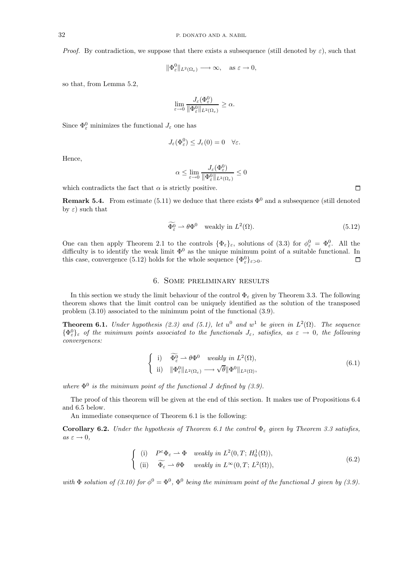*Proof.* By contradiction, we suppose that there exists a subsequence (still denoted by  $\varepsilon$ ), such that

$$
\|\Phi_{\varepsilon}^{0}\|_{L^{2}(\Omega_{\varepsilon})}\longrightarrow\infty,\quad\text{as }\varepsilon\to0,
$$

so that, from Lemma 5.2,

$$
\lim_{\varepsilon \to 0} \frac{J_{\varepsilon}(\Phi_{\varepsilon}^0)}{\|\Phi_{\varepsilon}^0\|_{L^2(\Omega_{\varepsilon})}} \ge \alpha.
$$

Since  $\Phi_{\varepsilon}^{0}$  minimizes the functional  $J_{\varepsilon}$  one has

$$
J_{\varepsilon}(\Phi_{\varepsilon}^0) \leq J_{\varepsilon}(0) = 0 \quad \forall \varepsilon.
$$

Hence,

$$
\alpha \leq \lim_{\varepsilon \to 0} \frac{J_{\varepsilon}(\Phi_\varepsilon^0)}{\|\Phi_\varepsilon^0\|_{L^2(\Omega_\varepsilon)}} \leq 0
$$

which contradicts the fact that  $\alpha$  is strictly positive.

**Remark 5.4.** From estimate (5.11) we deduce that there exists  $\Phi^0$  and a subsequence (still denoted by  $\varepsilon$ ) such that

$$
\Phi_{\varepsilon}^{0} \rightharpoonup \theta \Phi^{0} \quad \text{weakly in } L^{2}(\Omega). \tag{5.12}
$$

One can then apply Theorem 2.1 to the controls  $\{\Phi_{\varepsilon}\}_{\varepsilon}$ , solutions of (3.3) for  $\phi_{\varepsilon}^0 = \Phi_{\varepsilon}^0$ . All the difficulty is to identify the weak limit  $\Phi^0$  as the unique minimum point of a suitable functional. In this case, convergence (5.12) holds for the whole sequence  $\{\Phi_{\varepsilon}^{0}\}_{{\varepsilon}>0}$ .  $\Box$ 

### 6. Some preliminary results

In this section we study the limit behaviour of the control  $\Phi_{\varepsilon}$  given by Theorem 3.3. The following theorem shows that the limit control can be uniquely identified as the solution of the transposed problem (3.10) associated to the minimum point of the functional (3.9).

**Theorem 6.1.** Under hypothesis (2.3) and (5.1), let  $u^0$  and  $w^1$  be given in  $L^2(\Omega)$ . The sequence  $\{\Phi^0_\varepsilon\}_\varepsilon$  of the minimum points associated to the functionals  $J_\varepsilon$ , satisfies, as  $\varepsilon \to 0$ , the following convergences:

$$
\begin{cases}\n\text{i)} & \widetilde{\Phi}_{\varepsilon}^{0} \rightharpoonup \theta \Phi^{0} \quad weakly \text{ in } L^{2}(\Omega), \\
\text{ii)} & \|\Phi_{\varepsilon}^{0}\|_{L^{2}(\Omega_{\varepsilon})} \rightharpoonup \sqrt{\theta} \|\Phi^{0}\|_{L^{2}(\Omega)},\n\end{cases} (6.1)
$$

where  $\Phi^0$  is the minimum point of the functional J defined by (3.9).

The proof of this theorem will be given at the end of this section. It makes use of Propositions 6.4 and 6.5 below.

An immediate consequence of Theorem 6.1 is the following:

**Corollary 6.2.** Under the hypothesis of Theorem 6.1 the control  $\Phi_{\varepsilon}$  given by Theorem 3.3 satisfies,  $as \varepsilon \to 0$ ,

$$
\begin{cases}\n(i) & P^{\varepsilon} \Phi_{\varepsilon} \to \Phi \quad weakly \text{ in } L^{2}(0, T; H_{0}^{1}(\Omega)), \\
(ii) & \widetilde{\Phi_{\varepsilon}} \to \theta \Phi \quad weakly \text{ in } L^{\infty}(0, T; L^{2}(\Omega)),\n\end{cases} (6.2)
$$

with  $\Phi$  solution of (3.10) for  $\phi^0 = \Phi^0$ ,  $\Phi^0$  being the minimum point of the functional J given by (3.9).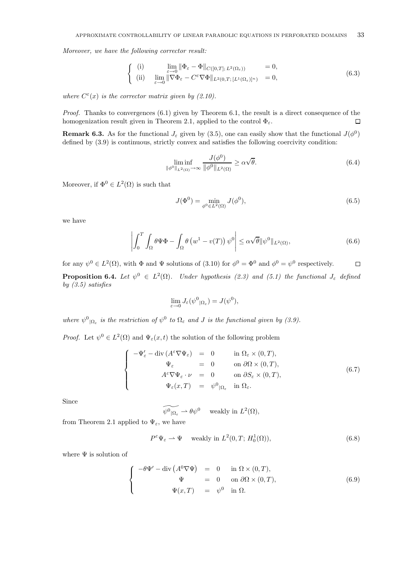Moreover, we have the following corrector result:

$$
\begin{cases}\n(i) & \lim_{\varepsilon \to 0} \|\Phi_{\varepsilon} - \Phi\|_{C([0,T]; L^2(\Omega_{\varepsilon}))} = 0, \\
(ii) & \lim_{\varepsilon \to 0} \|\nabla \Phi_{\varepsilon} - C^{\varepsilon} \nabla \Phi\|_{L^2(0,T; [L^1(\Omega_{\varepsilon})]^n)} = 0,\n\end{cases}
$$
\n(6.3)

where  $C^{\varepsilon}(x)$  is the corrector matrix given by (2.10).

*Proof.* Thanks to convergences  $(6.1)$  given by Theorem 6.1, the result is a direct consequence of the homogenization result given in Theorem 2.1, applied to the control  $\Phi_{\varepsilon}$ .  $\Box$ 

**Remark 6.3.** As for the functional  $J_{\varepsilon}$  given by (3.5), one can easily show that the functional  $J(\phi^0)$ defined by (3.9) is continuous, strictly convex and satisfies the following coercivity condition:

$$
\liminf_{\|\phi^0\|_{L^2(\Omega)} \to \infty} \frac{J(\phi^0)}{\|\phi^0\|_{L^2(\Omega)}} \ge \alpha \sqrt{\theta}.\tag{6.4}
$$

Moreover, if  $\Phi^0 \in L^2(\Omega)$  is such that

$$
J(\Phi^0) = \min_{\phi^0 \in L^2(\Omega)} J(\phi^0),
$$
\n(6.5)

we have

$$
\left| \int_0^T \int_{\Omega} \theta \Psi \Phi - \int_{\Omega} \theta \left( w^1 - v(T) \right) \psi^0 \right| \leq \alpha \sqrt{\theta} \| \psi^0 \|_{L^2(\Omega)}, \tag{6.6}
$$

for any  $\psi^0 \in L^2(\Omega)$ , with  $\Phi$  and  $\Psi$  solutions of (3.10) for  $\phi^0 = \Phi^0$  and  $\phi^0 = \psi^0$  respectively.  $\Box$ **Proposition 6.4.** Let  $\psi^0 \in L^2(\Omega)$ . Under hypothesis (2.3) and (5.1) the functional  $J_{\varepsilon}$  defined by  $(3.5)$  satisfies

$$
\lim_{\varepsilon \to 0} J_{\varepsilon}(\psi^0|_{\Omega_{\varepsilon}}) = J(\psi^0),
$$

where  $\psi^0{}_{|\Omega_{\varepsilon}}$  is the restriction of  $\psi^0$  to  $\Omega_{\varepsilon}$  and J is the functional given by (3.9).

*Proof.* Let  $\psi^0 \in L^2(\Omega)$  and  $\Psi_{\varepsilon}(x,t)$  the solution of the following problem

$$
\begin{cases}\n-\Psi'_{\varepsilon} - \operatorname{div} (A^{\varepsilon} \nabla \Psi_{\varepsilon}) = 0 & \text{in } \Omega_{\varepsilon} \times (0, T), \\
\Psi_{\varepsilon} = 0 & \text{on } \partial \Omega \times (0, T), \\
A^{\varepsilon} \nabla \Psi_{\varepsilon} \cdot \nu = 0 & \text{on } \partial S_{\varepsilon} \times (0, T), \\
\Psi_{\varepsilon}(x, T) = \psi^{0} |_{\Omega_{\varepsilon}} \quad \text{in } \Omega_{\varepsilon}.\n\end{cases} (6.7)
$$

Since

$$
\widetilde{\psi^0|_{\Omega_{\varepsilon}}} \rightharpoonup \theta \psi^0 \quad \text{ weakly in } L^2(\Omega),
$$

from Theorem 2.1 applied to  $\Psi_{\varepsilon}$ , we have

$$
P^{\varepsilon}\Psi_{\varepsilon} \rightharpoonup \Psi \quad \text{ weakly in } L^{2}(0,T; H_{0}^{1}(\Omega)), \tag{6.8}
$$

where  $\Psi$  is solution of

$$
\begin{cases}\n-\theta \Psi' - \operatorname{div} (A^0 \nabla \Psi) = 0 & \text{in } \Omega \times (0, T), \\
\Psi = 0 & \text{on } \partial \Omega \times (0, T), \\
\Psi(x, T) = \psi^0 & \text{in } \Omega.\n\end{cases}
$$
\n(6.9)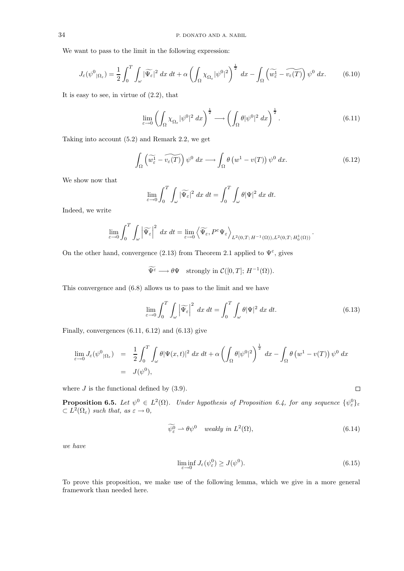We want to pass to the limit in the following expression:

$$
J_{\varepsilon}(\psi^{0}|_{\Omega_{\varepsilon}}) = \frac{1}{2} \int_{0}^{T} \int_{\omega} |\widetilde{\Psi_{\varepsilon}}|^{2} dx dt + \alpha \left( \int_{\Omega} \chi_{\Omega_{\varepsilon}} |\psi^{0}|^{2} \right)^{\frac{1}{2}} dx - \int_{\Omega} \left( \widetilde{\omega_{\varepsilon}} - \widetilde{\nu_{\varepsilon}(T)} \right) \psi^{0} dx.
$$
 (6.10)

It is easy to see, in virtue of  $(2.2)$ , that

$$
\lim_{\varepsilon \to 0} \left( \int_{\Omega} \chi_{\Omega_{\varepsilon}} |\psi^0|^2 dx \right)^{\frac{1}{2}} \longrightarrow \left( \int_{\Omega} \theta |\psi^0|^2 dx \right)^{\frac{1}{2}}.
$$
\n(6.11)

Taking into account (5.2) and Remark 2.2, we get

$$
\int_{\Omega} \left( \widetilde{w_{\varepsilon}^1} - \widetilde{v_{\varepsilon}(T)} \right) \psi^0 \, dx \longrightarrow \int_{\Omega} \theta \left( w^1 - v(T) \right) \psi^0 \, dx. \tag{6.12}
$$

We show now that

$$
\lim_{\varepsilon \to 0} \int_0^T \int_{\omega} |\widetilde{\Psi_{\varepsilon}}|^2 \, dx \, dt = \int_0^T \int_{\omega} \theta |\Psi|^2 \, dx \, dt.
$$

Indeed, we write

$$
\lim_{\varepsilon \to 0} \int_0^T \int_{\omega} \left| \widetilde{\Psi_{\varepsilon}} \right|^2 dx dt = \lim_{\varepsilon \to 0} \left\langle \widetilde{\Psi_{\varepsilon}}, P^{\varepsilon} \Psi_{\varepsilon} \right\rangle_{L^2(0,T;H^{-1}(\Omega)),L^2(0,T;H^1_0(\Omega))}.
$$

On the other hand, convergence (2.13) from Theorem 2.1 applied to  $\Psi^{\varepsilon}$ , gives

$$
\widetilde{\Psi^{\varepsilon}} \longrightarrow \theta \Psi \quad \text{strongly in } \mathcal{C}([0,T]; H^{-1}(\Omega)).
$$

This convergence and (6.8) allows us to pass to the limit and we have

$$
\lim_{\varepsilon \to 0} \int_0^T \int_{\omega} \left| \widetilde{\Psi_{\varepsilon}} \right|^2 dx dt = \int_0^T \int_{\omega} \theta |\Psi|^2 dx dt.
$$
 (6.13)

Finally, convergences (6.11, 6.12) and (6.13) give

$$
\lim_{\varepsilon \to 0} J_{\varepsilon}(\psi^0|_{\Omega_{\varepsilon}}) = \frac{1}{2} \int_0^T \int_{\omega} \theta |\Psi(x, t)|^2 dx dt + \alpha \left( \int_{\Omega} \theta |\psi^0|^2 \right)^{\frac{1}{2}} dx - \int_{\Omega} \theta (w^1 - v(T)) \psi^0 dx
$$
  
=  $J(\psi^0),$ 

where  $J$  is the functional defined by  $(3.9)$ .

**Proposition 6.5.** Let  $\psi^0 \in L^2(\Omega)$ . Under hypothesis of Proposition 6.4, for any sequence  $\{\psi^0_\varepsilon\}_\varepsilon$  $\subset L^2(\Omega_\varepsilon)$  such that, as  $\varepsilon \to 0$ ,

$$
\widetilde{\psi^0_\varepsilon} \rightharpoonup \theta \psi^0 \quad weakly \ in \ L^2(\Omega), \tag{6.14}
$$

we have

$$
\liminf_{\varepsilon \to 0} J_{\varepsilon}(\psi_{\varepsilon}^0) \ge J(\psi^0). \tag{6.15}
$$

To prove this proposition, we make use of the following lemma, which we give in a more general framework than needed here.

$$
\Box
$$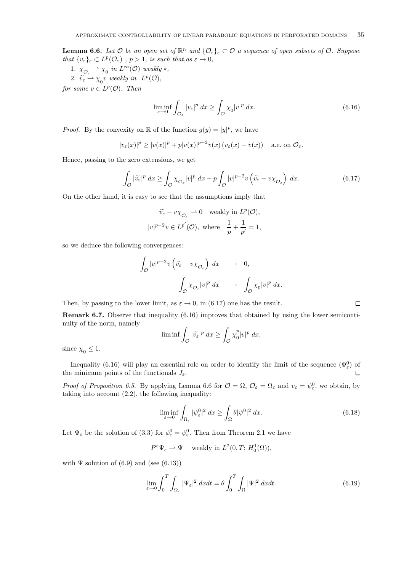**Lemma 6.6.** Let  $\mathcal O$  be an open set of  $\mathbb R^n$  and  $\{\mathcal O_\varepsilon\}_\varepsilon \subset \mathcal O$  a sequence of open subsets of  $\mathcal O$ . Suppose that  $\{v_{\varepsilon}\}_{\varepsilon} \subset L^p(\mathcal{O}_{\varepsilon})$ ,  $p > 1$ , is such that, as  $\varepsilon \to 0$ ,

1.  $\chi_{\mathcal{O}_{\varepsilon}} \to \chi_0$  in  $L^{\infty}(\mathcal{O})$  weakly  $*,$ 

2.  $\widetilde{v_{\varepsilon}} \rightharpoonup \chi_0 v$  weakly in  $L^p(\mathcal{O}),$ 

for some  $v \in L^p(\mathcal{O})$ . Then

$$
\liminf_{\varepsilon \to 0} \int_{\mathcal{O}_{\varepsilon}} |v_{\varepsilon}|^p dx \ge \int_{\mathcal{O}} \chi_0 |v|^p dx. \tag{6.16}
$$

*Proof.* By the convexity on  $\mathbb R$  of the function  $g(y) = |y|^p$ , we have

$$
|v_{\varepsilon}(x)|^p \ge |v(x)|^p + p|v(x)|^{p-2}v(x) (v_{\varepsilon}(x) - v(x)) \quad \text{a.e. on } \mathcal{O}_{\varepsilon}.
$$

Hence, passing to the zero extensions, we get

$$
\int_{\mathcal{O}} |\tilde{v}_{\varepsilon}|^p dx \ge \int_{\mathcal{O}} \chi_{\mathcal{O}_{\varepsilon}} |v|^p dx + p \int_{\mathcal{O}} |v|^{p-2} v \left( \tilde{v}_{\varepsilon} - v \chi_{\mathcal{O}_{\varepsilon}} \right) dx.
$$
\n(6.17)

On the other hand, it is easy to see that the assumptions imply that

$$
\widetilde{v_{\varepsilon}} - v\chi_{\mathcal{O}_{\varepsilon}} \rightharpoonup 0 \quad \text{weakly in } L^p(\mathcal{O}),
$$
  

$$
|v|^{p-2}v \in L^{p'}(\mathcal{O}), \text{ where } \frac{1}{p} + \frac{1}{p'} = 1,
$$

so we deduce the following convergences:

$$
\begin{array}{ccc}\n\int_{\mathcal{O}}|v|^{p-2}v\left(\widetilde{v_{\varepsilon}}-v\chi_{{\mathcal{O}}_{\varepsilon}}\right)\;dx&\longrightarrow&0,\\
\int_{\mathcal{O}}\chi_{{\mathcal{O}}_{\varepsilon}}|v|^p\;dx&\longrightarrow&\int_{\mathcal{O}}\chi_0|v|^p\;dx.\n\end{array}
$$

Then, by passing to the lower limit, as  $\varepsilon \to 0$ , in (6.17) one has the result.

**Remark 6.7.** Observe that inequality (6.16) improves that obtained by using the lower semicontinuity of the norm, namely

$$
\liminf \int_{\mathcal{O}} |\widetilde{v}_{\varepsilon}|^p dx \ge \int_{\mathcal{O}} \chi_0^p |v|^p dx,
$$

since  $\chi_0 \leq 1$ .

Inequality (6.16) will play an essential role on order to identify the limit of the sequence  $(\Phi_{\varepsilon}^{0})$  of the minimum points of the functionals  $J_{\varepsilon}$ .  $\Box$ 

*Proof of Proposition 6.5.* By applying Lemma 6.6 for  $\mathcal{O} = \Omega$ ,  $\mathcal{O}_{\varepsilon} = \Omega_{\varepsilon}$  and  $v_{\varepsilon} = \psi_{\varepsilon}^0$ , we obtain, by taking into account (2.2), the following inequality:

$$
\liminf_{\varepsilon \to 0} \int_{\Omega_{\varepsilon}} |\psi_{\varepsilon}^0|^2 dx \ge \int_{\Omega} \theta |\psi^0|^2 dx. \tag{6.18}
$$

 $\Box$ 

Let  $\Psi_{\varepsilon}$  be the solution of (3.3) for  $\phi_{\varepsilon}^{0} = \psi_{\varepsilon}^{0}$ . Then from Theorem 2.1 we have

$$
P^{\varepsilon} \Psi_{\varepsilon} \rightharpoonup \Psi \quad \text{ weakly in } L^2(0, T; H_0^1(\Omega)),
$$

with  $\Psi$  solution of (6.9) and (see (6.13))

$$
\lim_{\varepsilon \to 0} \int_0^T \int_{\Omega_{\varepsilon}} |\Psi_{\varepsilon}|^2 dx dt = \theta \int_0^T \int_{\Omega} |\Psi|^2 dx dt.
$$
 (6.19)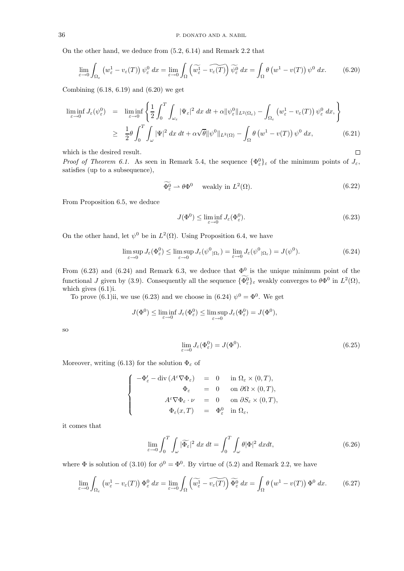On the other hand, we deduce from (5.2, 6.14) and Remark 2.2 that

$$
\lim_{\varepsilon \to 0} \int_{\Omega_{\varepsilon}} \left( w_{\varepsilon}^1 - v_{\varepsilon}(T) \right) \psi_{\varepsilon}^0 \, dx = \lim_{\varepsilon \to 0} \int_{\Omega} \left( \widetilde{w_{\varepsilon}^1} - \widetilde{v_{\varepsilon}(T)} \right) \widetilde{\psi_{\varepsilon}^0} \, dx = \int_{\Omega} \theta \left( w^1 - v(T) \right) \psi^0 \, dx. \tag{6.20}
$$

Combining (6.18, 6.19) and (6.20) we get

$$
\liminf_{\varepsilon \to 0} J_{\varepsilon}(\psi_{\varepsilon}^{0}) = \liminf_{\varepsilon \to 0} \left\{ \frac{1}{2} \int_{0}^{T} \int_{\omega_{\varepsilon}} |\Psi_{\varepsilon}|^{2} dx dt + \alpha ||\psi_{\varepsilon}^{0}||_{L^{2}(\Omega_{\varepsilon})} - \int_{\Omega_{\varepsilon}} (w_{\varepsilon}^{1} - v_{\varepsilon}(T)) \psi_{\varepsilon}^{0} dx, \right\}
$$
\n
$$
\geq \frac{1}{2} \theta \int_{0}^{T} \int_{\omega} |\Psi|^{2} dx dt + \alpha \sqrt{\theta} ||\psi^{0}||_{L^{2}(\Omega)} - \int_{\Omega} \theta (w^{1} - v(T)) \psi^{0} dx, \tag{6.21}
$$

which is the desired result.

*Proof of Theorem 6.1.* As seen in Remark 5.4, the sequence  $\{\Phi_{\varepsilon}^0\}_{\varepsilon}$  of the minimum points of  $J_{\varepsilon}$ , satisfies (up to a subsequence),

$$
\widetilde{\Phi_{\varepsilon}^{0}} \rightharpoonup \theta \Phi^{0} \quad \text{ weakly in } L^{2}(\Omega). \tag{6.22}
$$

From Proposition 6.5, we deduce

$$
J(\Phi^0) \le \liminf_{\varepsilon \to 0} J_{\varepsilon}(\Phi^0_{\varepsilon}).
$$
\n(6.23)

 $\Box$ 

On the other hand, let  $\psi^0$  be in  $L^2(\Omega)$ . Using Proposition 6.4, we have

$$
\limsup_{\varepsilon \to 0} J_{\varepsilon}(\Phi_{\varepsilon}^{0}) \le \limsup_{\varepsilon \to 0} J_{\varepsilon}(\psi_{|\Omega_{\varepsilon}}^{0}) = \lim_{\varepsilon \to 0} J_{\varepsilon}(\psi_{|\Omega_{\varepsilon}}^{0}) = J(\psi_{0}).
$$
\n(6.24)

From (6.23) and (6.24) and Remark 6.3, we deduce that  $\Phi^0$  is the unique minimum point of the functional J given by (3.9). Consequently all the sequence  $\{\Phi_{\varepsilon}^{0}\}_\varepsilon$  weakly converges to  $\theta\Phi^{0}$  in  $L^{2}(\Omega)$ , which gives (6.1)i.

To prove (6.1)ii, we use (6.23) and we choose in (6.24)  $\psi^0 = \Phi^0$ . We get

$$
J(\Phi^0) \le \liminf_{\varepsilon \to 0} J_{\varepsilon}(\Phi^0_{\varepsilon}) \le \limsup_{\varepsilon \to 0} J_{\varepsilon}(\Phi^0_{\varepsilon}) = J(\Phi^0),
$$

so

$$
\lim_{\varepsilon \to 0} J_{\varepsilon}(\Phi_{\varepsilon}^{0}) = J(\Phi^{0}).
$$
\n(6.25)

Moreover, writing (6.13) for the solution  $\Phi_{\varepsilon}$  of

$$
\label{eq:11} \left\{ \begin{array}{rcl} -\Phi'_\varepsilon -\operatorname{div}\left(A^\varepsilon \nabla \Phi_\varepsilon\right) & = & 0 & \text{ in } \Omega_\varepsilon \times (0,T), \\[1ex] \Phi_\varepsilon & = & 0 & \text{ on } \partial \Omega \times (0,T), \\[1ex] A^\varepsilon \nabla \Phi_\varepsilon \cdot \nu & = & 0 & \text{ on } \partial S_\varepsilon \times (0,T), \\[1ex] \Phi_\varepsilon(x,T) & = & \Phi_\varepsilon^0 & \text{ in } \Omega_\varepsilon, \end{array} \right.
$$

it comes that

$$
\lim_{\varepsilon \to 0} \int_0^T \int_{\omega} |\widetilde{\Phi_{\varepsilon}}|^2 dx dt = \int_0^T \int_{\omega} \theta |\Phi|^2 dx dt,
$$
\n(6.26)

where  $\Phi$  is solution of (3.10) for  $\phi^0 = \Phi^0$ . By virtue of (5.2) and Remark 2.2, we have

$$
\lim_{\varepsilon \to 0} \int_{\Omega_{\varepsilon}} \left( w_{\varepsilon}^1 - v_{\varepsilon}(T) \right) \Phi_{\varepsilon}^0 \, dx = \lim_{\varepsilon \to 0} \int_{\Omega} \left( \widetilde{w_{\varepsilon}^1} - \widetilde{v_{\varepsilon}(T)} \right) \widetilde{\Phi_{\varepsilon}^0} \, dx = \int_{\Omega} \theta \left( w^1 - v(T) \right) \Phi^0 \, dx. \tag{6.27}
$$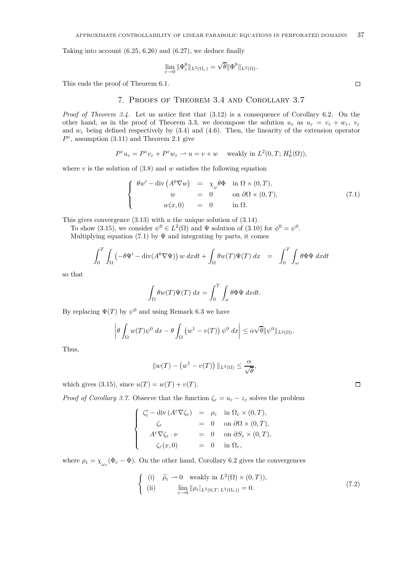Taking into account (6.25, 6.26) and (6.27), we deduce finally

$$
\lim_{\varepsilon \to 0} \|\Phi_{\varepsilon}^0\|_{L^2(\Omega_{\varepsilon})} = \sqrt{\theta} \|\Phi^0\|_{L^2(\Omega)}.
$$

This ends the proof of Theorem 6.1.

## 7. Proofs of Theorem 3.4 and Corollary 3.7

Proof of Theorem 3.4. Let us notice first that  $(3.12)$  is a consequence of Corollary 6.2. On the other hand, as in the proof of Theorem 3.3, we decompose the solution  $u_{\varepsilon}$  as  $u_{\varepsilon} = v_{\varepsilon} + w_{\varepsilon}$ ,  $v_{\varepsilon}$ and  $w_{\varepsilon}$  being defined respectively by (3.4) and (4.6). Then, the linearity of the extension operator  $P^{\varepsilon}$ , assumption (3.11) and Theorem 2.1 give

$$
P^{\varepsilon}u_{\varepsilon} = P^{\varepsilon}v_{\varepsilon} + P^{\varepsilon}w_{\varepsilon} \rightharpoonup u = v + w \quad \text{ weakly in } L^2(0, T; H_0^1(\Omega)),
$$

where  $v$  is the solution of  $(3.8)$  and  $w$  satisfies the following equation

$$
\begin{cases}\n\theta w' - \operatorname{div} (A^0 \nabla w) & = \chi_\omega \theta \Phi & \text{in } \Omega \times (0, T), \\
w & = 0 \qquad \text{on } \partial \Omega \times (0, T), \\
w(x, 0) & = 0 \qquad \text{in } \Omega.\n\end{cases}
$$
\n(7.1)

This gives convergence  $(3.13)$  with u the unique solution of  $(3.14)$ .

To show (3.15), we consider  $\psi^0 \in L^2(\Omega)$  and  $\Psi$  solution of (3.10) for  $\phi^0 = \psi^0$ . Multiplying equation (7.1) by  $\Psi$  and integrating by parts, it comes

$$
\int_0^T \int_{\Omega} \left( -\theta \Psi' - \text{div}(A^0 \nabla \Psi) \right) w \, dx dt + \int_{\Omega} \theta w(T) \Psi(T) \, dx = \int_0^T \int_{\omega} \theta \Phi \Psi \, dx dt
$$

so that

$$
\int_{\Omega} \theta w(T) \Psi(T) dx = \int_0^T \int_{\omega} \theta \Phi \Psi dx dt.
$$

By replacing  $\Psi(T)$  by  $\psi^0$  and using Remark 6.3 we have

$$
\left|\theta \int_{\Omega} w(T) \psi^{0} dx - \theta \int_{\Omega} \left( w^{1} - v(T) \right) \psi^{0} dx \right| \leq \alpha \sqrt{\theta} \|\psi^{0}\|_{L^{2}(\Omega)}.
$$

Thus,

$$
||w(T) - (w^1 - v(T))||_{L^2(\Omega)} \le \frac{\alpha}{\sqrt{\theta}},
$$

which gives (3.15), since  $u(T) = w(T) + v(T)$ .

*Proof of Corollary 3.7.* Observe that the function  $\zeta_{\varepsilon} = u_{\varepsilon} - z_{\varepsilon}$  solves the problem

$$
\label{eq:21} \left\{ \begin{array}{rcl} \zeta_{\varepsilon}^{\prime}-\operatorname{div}\left(A^{\varepsilon}\nabla\zeta_{\varepsilon}\right)&=&\rho_{\varepsilon}\quad\mbox{in }\Omega_{\varepsilon}\times(0,T),\\ \zeta_{\varepsilon}&&=&0\quad\mbox{on }\partial\Omega\times(0,T),\\ A^{\varepsilon}\nabla\zeta_{\varepsilon}\cdot\nu&=&0\quad\mbox{on }\partial S_{\varepsilon}\times(0,T),\\ \zeta_{\varepsilon}(x,0)&=&0\quad\mbox{in }\Omega_{\varepsilon}, \end{array} \right.
$$

where  $\rho_{\varepsilon} = \chi_{\omega_{\varepsilon}}(\Phi_{\varepsilon} - \Phi)$ . On the other hand, Corollary 6.2 gives the convergences

$$
\begin{cases}\n(i) & \tilde{\rho}_{\varepsilon} \to 0 \quad \text{weakly in } L^{2}(\Omega) \times (0, T)), \\
(ii) & \lim_{\varepsilon \to 0} \|\rho_{\varepsilon}|_{L^{2}(0, T; L^{2}(\Omega_{\varepsilon}))} = 0.\n\end{cases}
$$
\n(7.2)

 $\Box$